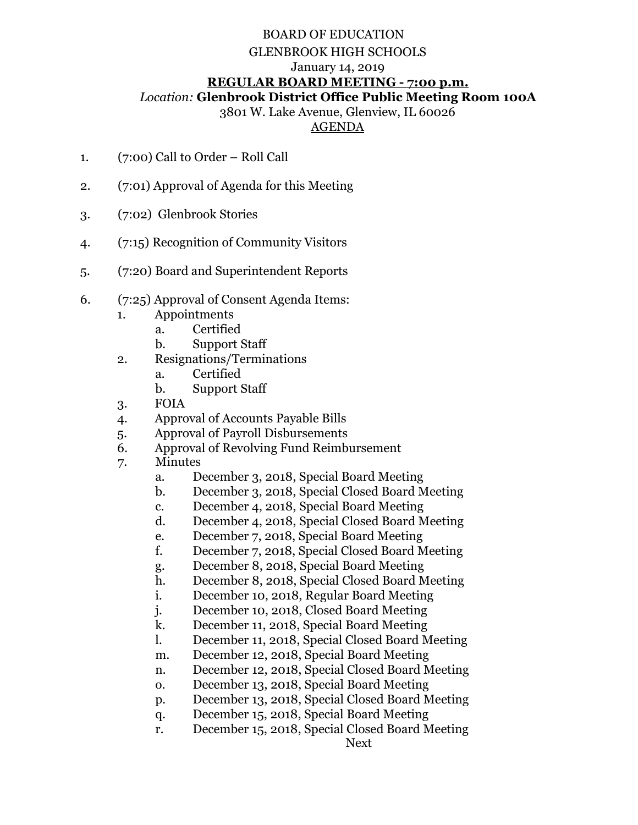## BOARD OF EDUCATION GLENBROOK HIGH SCHOOLS January 14, 2019 **REGULAR BOARD MEETING - 7:00 p.m.**  *Location:* **Glenbrook District Office Public Meeting Room 100A**

3801 W. Lake Avenue, Glenview, IL 60026

## AGENDA

- 1. (7:00) Call to Order Roll Call
- 2. (7:01) Approval of Agenda for this Meeting
- 3. (7:02) Glenbrook Stories
- 4. (7:15) Recognition of Community Visitors
- 5. (7:20) Board and Superintendent Reports
- 6. (7:25) Approval of Consent Agenda Items:
	- 1. Appointments
		- a. Certified
		- b. Support Staff
	- 2. Resignations/Terminations
		- a. Certified
			- b. Support Staff
	- 3. FOIA
	- 4. Approval of Accounts Payable Bills
	- 5. Approval of Payroll Disbursements
	- 6. Approval of Revolving Fund Reimbursement
	- 7. Minutes
		- a. December 3, 2018, Special Board Meeting
		- b. December 3, 2018, Special Closed Board Meeting
		- c. December 4, 2018, Special Board Meeting
		- d. December 4, 2018, Special Closed Board Meeting
		- e. December 7, 2018, Special Board Meeting
		- f. December 7, 2018, Special Closed Board Meeting
		- g. December 8, 2018, Special Board Meeting
		- h. December 8, 2018, Special Closed Board Meeting
		- i. December 10, 2018, Regular Board Meeting
		- j. December 10, 2018, Closed Board Meeting
		- k. December 11, 2018, Special Board Meeting
		- l. December 11, 2018, Special Closed Board Meeting
		- m. December 12, 2018, Special Board Meeting
		- n. December 12, 2018, Special Closed Board Meeting
		- o. December 13, 2018, Special Board Meeting
		- p. December 13, 2018, Special Closed Board Meeting
		- q. December 15, 2018, Special Board Meeting
		- r. December 15, 2018, Special Closed Board Meeting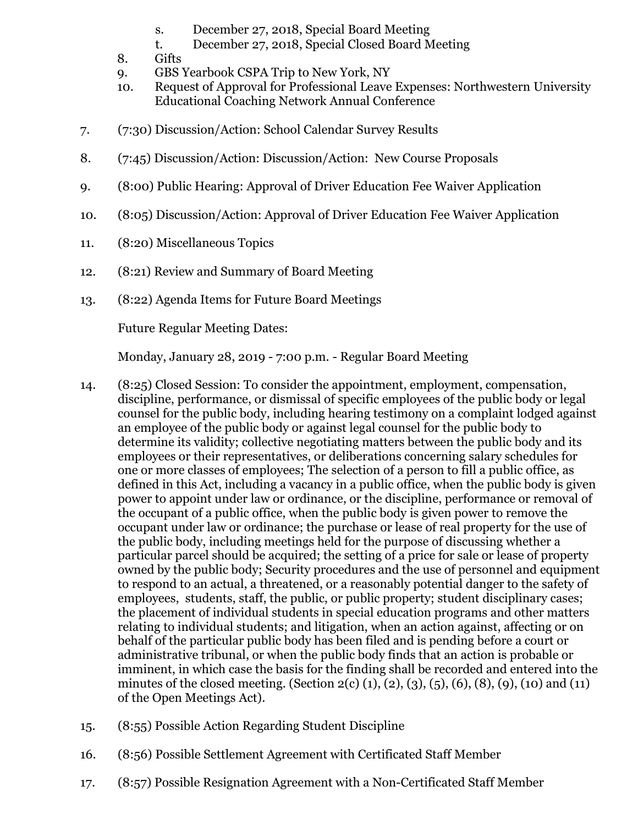- s. December 27, 2018, Special Board Meeting
- t. December 27, 2018, Special Closed Board Meeting
- 8. Gifts
- 9. GBS Yearbook CSPA Trip to New York, NY
- 10. Request of Approval for Professional Leave Expenses: Northwestern University Educational Coaching Network Annual Conference
- 7. (7:30) Discussion/Action: School Calendar Survey Results
- 8. (7:45) Discussion/Action: Discussion/Action: New Course Proposals
- 9. (8:00) Public Hearing: Approval of Driver Education Fee Waiver Application
- 10. (8:05) Discussion/Action: Approval of Driver Education Fee Waiver Application
- 11. (8:20) Miscellaneous Topics
- 12. (8:21) Review and Summary of Board Meeting
- 13. (8:22) Agenda Items for Future Board Meetings

Future Regular Meeting Dates:

Monday, January 28, 2019 - 7:00 p.m. - Regular Board Meeting

- 14. (8:25) Closed Session: To consider the appointment, employment, compensation, discipline, performance, or dismissal of specific employees of the public body or legal counsel for the public body, including hearing testimony on a complaint lodged against an employee of the public body or against legal counsel for the public body to determine its validity; collective negotiating matters between the public body and its employees or their representatives, or deliberations concerning salary schedules for one or more classes of employees; The selection of a person to fill a public office, as defined in this Act, including a vacancy in a public office, when the public body is given power to appoint under law or ordinance, or the discipline, performance or removal of the occupant of a public office, when the public body is given power to remove the occupant under law or ordinance; the purchase or lease of real property for the use of the public body, including meetings held for the purpose of discussing whether a particular parcel should be acquired; the setting of a price for sale or lease of property owned by the public body; Security procedures and the use of personnel and equipment to respond to an actual, a threatened, or a reasonably potential danger to the safety of employees, students, staff, the public, or public property; student disciplinary cases; the placement of individual students in special education programs and other matters relating to individual students; and litigation, when an action against, affecting or on behalf of the particular public body has been filed and is pending before a court or administrative tribunal, or when the public body finds that an action is probable or imminent, in which case the basis for the finding shall be recorded and entered into the minutes of the closed meeting. (Section 2(c) (1), (2), (3), (5), (6), (8), (9), (10) and (11) of the Open Meetings Act).
- 15. (8:55) Possible Action Regarding Student Discipline
- 16. (8:56) Possible Settlement Agreement with Certificated Staff Member
- 17. (8:57) Possible Resignation Agreement with a Non-Certificated Staff Member